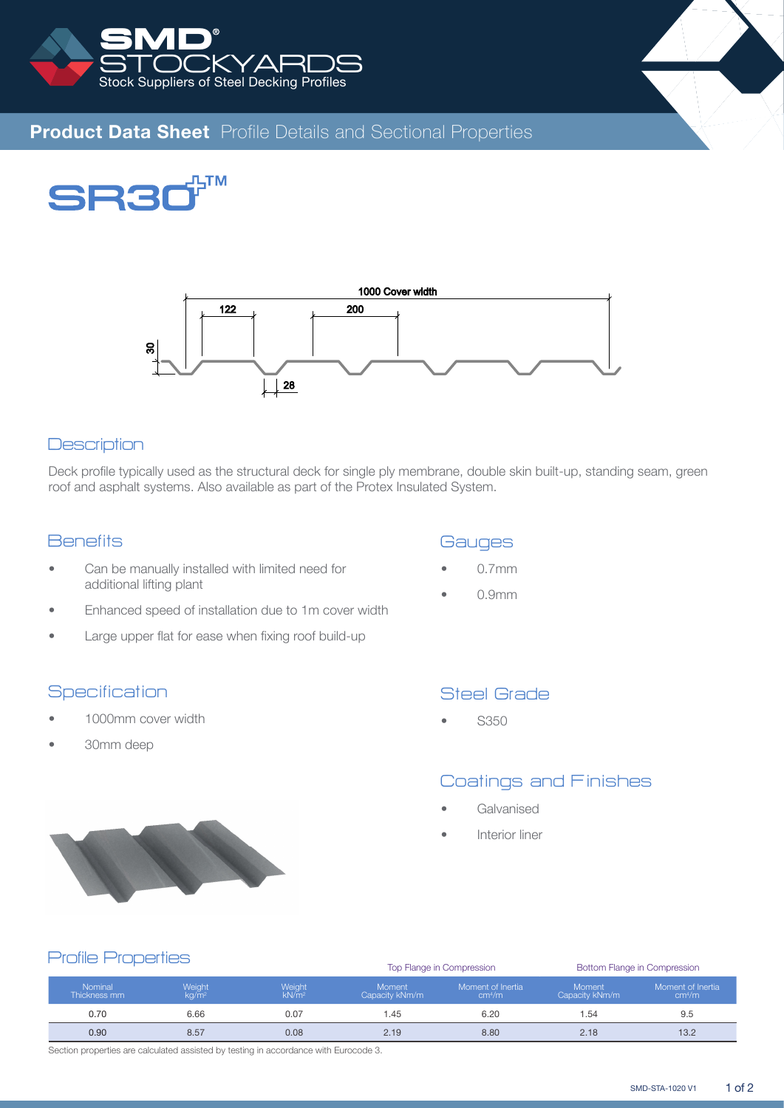



# **Product Data Sheet** Profile Details and Sectional Properties





# **Description**

Deck profile typically used as the structural deck for single ply membrane, double skin built-up, standing seam, green roof and asphalt systems. Also available as part of the Protex Insulated System.

# **Benefits**

- Can be manually installed with limited need for additional lifting plant
- Enhanced speed of installation due to 1m cover width
- Large upper flat for ease when fixing roof build-up

### **Specification**

- 1000mm cover width
- 30mm deep

### **Gauges**

- 0.7mm
- 0.9mm

# Steel Grade

• S350

# Coatings and Finishes

- **Galvanised**
- Interior liner



#### Top Flange in Compression Bottom Flange in Compression Nominal Thickness mm Weight kg/m<sup>2</sup> Weight kN/m<sup>2</sup> Moment Capacity kNm/m Moment of Inertia cm<sup>4</sup> /m Moment Capacity kNm/m Moment of Inertia cm<sup>4</sup> /m 0.70 6.66 6.07 0.07 1.45 6.20 1.54 9.5 0.90 8.57 0.08 2.19 8.80 2.18 13.2 Profile Properties

Section properties are calculated assisted by testing in accordance with Eurocode 3.